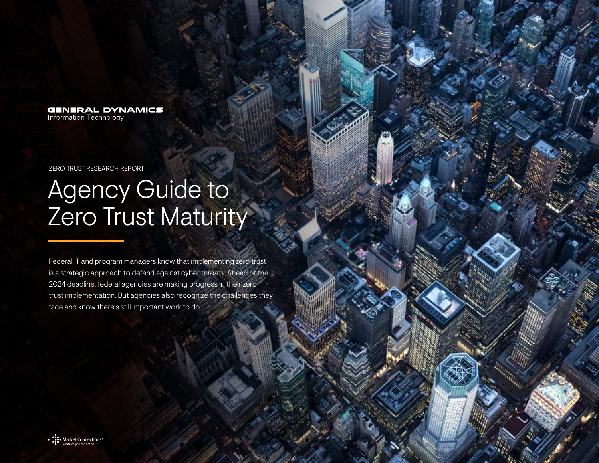**GENERAL DYNAMICS** Information Technology

ZERO TRUST RESEARCH REPORT

## Agency Guide to Zero Trust Maturity

Federal IT and program managers know that implementing zero trust is a strategic approach to defend against cyber threats. Ahead of the 2024 deadline, federal agencies are making progress in their zero trust implementation. But agencies also recognize the challenges they face and know there's still important work to do.

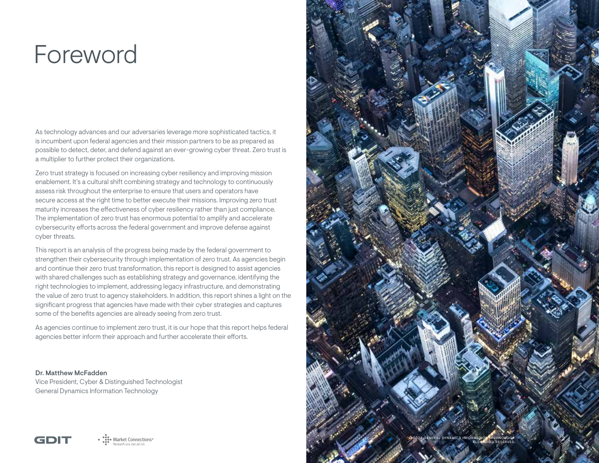## Foreword

As technology advances and our adversaries leverage more sophisticated tactics, it is incumbent upon federal agencies and their mission partners to be as prepared as possible to detect, deter, and defend against an ever-growing cyber threat. Zero trust is a multiplier to further protect their organizations.

Zero trust strategy is focused on increasing cyber resiliency and improving mission enablement. It's a cultural shift combining strategy and technology to continuously assess risk throughout the enterprise to ensure that users and operators have secure access at the right time to better execute their missions. Improving zero trust maturity increases the effectiveness of cyber resiliency rather than just compliance. The implementation of zero trust has enormous potential to amplify and accelerate cybersecurity efforts across the federal government and improve defense against cyber threats.

This report is an analysis of the progress being made by the federal government to strengthen their cybersecurity through implementation of zero trust. As agencies begin and continue their zero trust transformation, this report is designed to assist agencies with shared challenges such as establishing strategy and governance, identifying the right technologies to implement, addressing legacy infrastructure, and demonstrating the value of zero trust to agency stakeholders. In addition, this report shines a light on the significant progress that agencies have made with their cyber strategies and captures some of the benefits agencies are already seeing from zero trust.

As agencies continue to implement zero trust, it is our hope that this report helps federal agencies better inform their approach and further accelerate their efforts.

Dr. Matthew McFadden Vice President, Cyber & Distinguished Technologist General Dynamics Information Technology



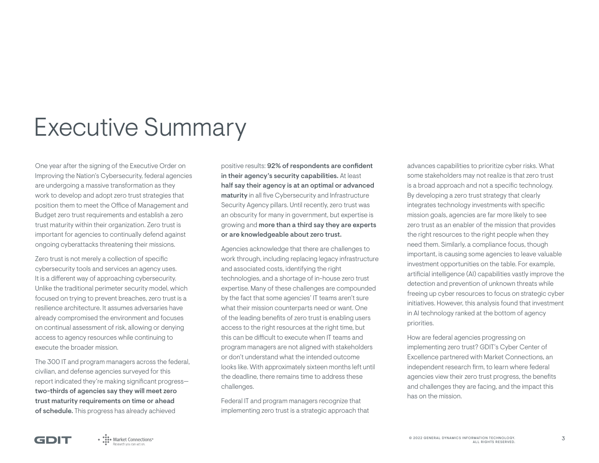## Executive Summary

One year after the signing of the Executive Order on Improving the Nation's Cybersecurity, federal agencies are undergoing a massive transformation as they work to develop and adopt zero trust strategies that position them to meet the Office of Management and Budget zero trust requirements and establish a zero trust maturity within their organization. Zero trust is important for agencies to continually defend against ongoing cyberattacks threatening their missions.

Zero trust is not merely a collection of specific cybersecurity tools and services an agency uses. It is a different way of approaching cybersecurity. Unlike the traditional perimeter security model, which focused on trying to prevent breaches, zero trust is a resilience architecture. It assumes adversaries have already compromised the environment and focuses on continual assessment of risk, allowing or denying access to agency resources while continuing to execute the broader mission.

The 300 IT and program managers across the federal, civilian, and defense agencies surveyed for this report indicated they're making significant progress two-thirds of agencies say they will meet zero trust maturity requirements on time or ahead of schedule. This progress has already achieved

positive results: 92% of respondents are confident in their agency's security capabilities. At least half say their agency is at an optimal or advanced maturity in all five Cybersecurity and Infrastructure Security Agency pillars. Until recently, zero trust was an obscurity for many in government, but expertise is growing and more than a third say they are experts or are knowledgeable about zero trust.

Agencies acknowledge that there are challenges to work through, including replacing legacy infrastructure and associated costs, identifying the right technologies, and a shortage of in-house zero trust expertise. Many of these challenges are compounded by the fact that some agencies' IT teams aren't sure what their mission counterparts need or want. One of the leading benefits of zero trust is enabling users access to the right resources at the right time, but this can be difficult to execute when IT teams and program managers are not aligned with stakeholders or don't understand what the intended outcome looks like. With approximately sixteen months left until the deadline, there remains time to address these challenges.

Federal IT and program managers recognize that implementing zero trust is a strategic approach that

advances capabilities to prioritize cyber risks. What some stakeholders may not realize is that zero trust is a broad approach and not a specific technology. By developing a zero trust strategy that clearly integrates technology investments with specific mission goals, agencies are far more likely to see zero trust as an enabler of the mission that provides the right resources to the right people when they need them. Similarly, a compliance focus, though important, is causing some agencies to leave valuable investment opportunities on the table. For example, artificial intelligence (AI) capabilities vastly improve the detection and prevention of unknown threats while freeing up cyber resources to focus on strategic cyber initiatives. However, this analysis found that investment in AI technology ranked at the bottom of agency priorities.

How are federal agencies progressing on implementing zero trust? GDIT's Cyber Center of Excellence partnered with Market Connections, an independent research firm, to learn where federal agencies view their zero trust progress, the benefits and challenges they are facing, and the impact this has on the mission.

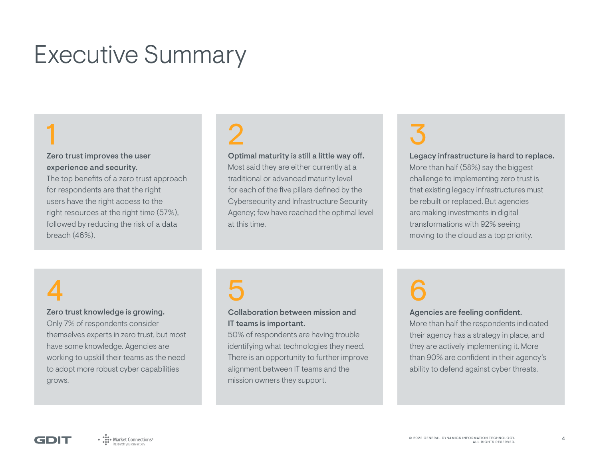## Executive Summary

## 1

### Zero trust improves the user experience and security.

The top benefits of a zero trust approach for respondents are that the right users have the right access to the right resources at the right time (57%), followed by reducing the risk of a data breach (46%).

# 2

### Optimal maturity is still a little way off.

Most said they are either currently at a traditional or advanced maturity level for each of the five pillars defined by the Cybersecurity and Infrastructure Security Agency; few have reached the optimal level at this time.

# 3

#### Legacy infrastructure is hard to replace.

More than half (58%) say the biggest challenge to implementing zero trust is that existing legacy infrastructures must be rebuilt or replaced. But agencies are making investments in digital transformations with 92% seeing moving to the cloud as a top priority.

## 4

### Zero trust knowledge is growing.

Only 7% of respondents consider themselves experts in zero trust, but most have some knowledge. Agencies are working to upskill their teams as the need to adopt more robust cyber capabilities grows.

# 5

### Collaboration between mission and IT teams is important.

50% of respondents are having trouble identifying what technologies they need. There is an opportunity to further improve alignment between IT teams and the mission owners they support.

# 6

#### Agencies are feeling confident.

More than half the respondents indicated their agency has a strategy in place, and they are actively implementing it. More than 90% are confident in their agency's ability to defend against cyber threats.

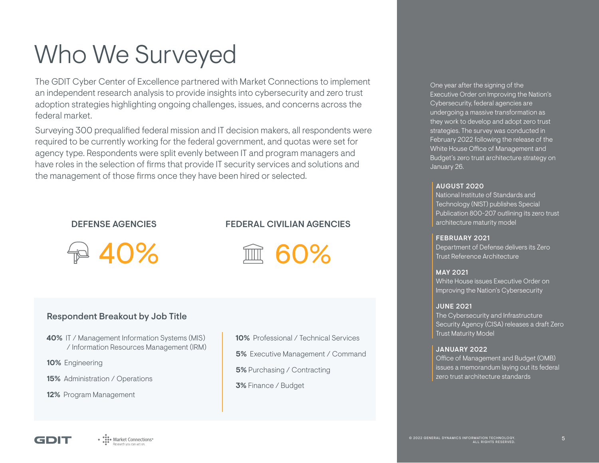## Who We Surveyed

The GDIT Cyber Center of Excellence partnered with Market Connections to implement an independent research analysis to provide insights into cybersecurity and zero trust adoption strategies highlighting ongoing challenges, issues, and concerns across the federal market.

Surveying 300 prequalified federal mission and IT decision makers, all respondents were required to be currently working for the federal government, and quotas were set for agency type. Respondents were split evenly between IT and program managers and have roles in the selection of firms that provide IT security services and solutions and the management of those firms once they have been hired or selected.

### DEFENSE AGENCIES

### FEDERAL CIVILIAN AGENCIES

40%

## 60%

### Respondent Breakout by Job Title

- **40%** IT / Management Information Systems (MIS) / Information Resources Management (IRM)
- **10%** Engineering
- **15%** Administration / Operations
- **12%** Program Management

**10%** Professional / Technical Services **5%** Executive Management / Command **5%** Purchasing / Contracting

**3%** Finance / Budget

One year after the signing of the Executive Order on Improving the Nation's Cybersecurity, federal agencies are undergoing a massive transformation as they work to develop and adopt zero trust strategies. The survey was conducted in February 2022 following the release of the White House Office of Management and Budget's zero trust architecture strategy on January 26.

#### AUGUST 2020

National Institute of Standards and Technology (NIST) publishes Special Publication 800-207 outlining its zero trust architecture maturity model

#### FEBRUARY 2021

Department of Defense delivers its Zero Trust Reference Architecture

#### MAY 2021

White House issues Executive Order on Improving the Nation's Cybersecurity

#### JUNE 2021

The Cybersecurity and Infrastructure Security Agency (CISA) releases a draft Zero Trust Maturity Model

#### JANUARY 2022

Office of Management and Budget (OMB) issues a memorandum laying out its federal zero trust architecture standards

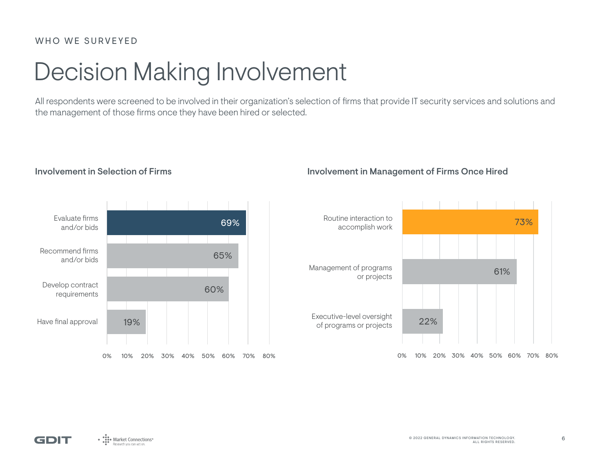## Decision Making Involvement

All respondents were screened to be involved in their organization's selection of firms that provide IT security services and solutions and the management of those firms once they have been hired or selected.



### Involvement in Selection of Firms **Involvement in Management of Firms Once Hired**



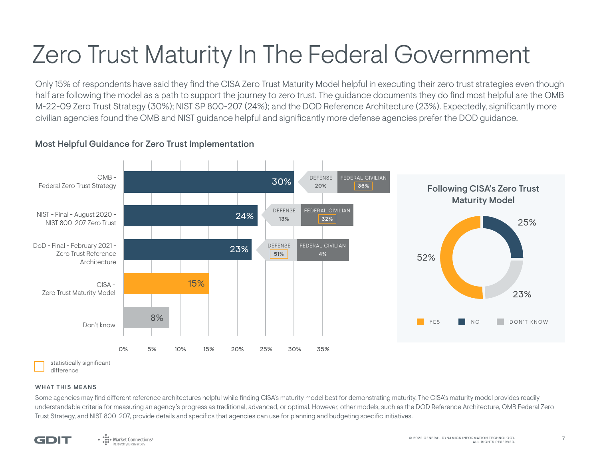## Zero Trust Maturity In The Federal Government

Only 15% of respondents have said they find the CISA Zero Trust Maturity Model helpful in executing their zero trust strategies even though half are following the model as a path to support the journey to zero trust. The guidance documents they do find most helpful are the OMB M-22-09 Zero Trust Strategy (30%); NIST SP 800-207 (24%); and the DOD Reference Architecture (23%). Expectedly, significantly more civilian agencies found the OMB and NIST guidance helpful and significantly more defense agencies prefer the DOD guidance.

### Most Helpful Guidance for Zero Trust Implementation



difference

#### WHAT THIS MEANS

Some agencies may find different reference architectures helpful while finding CISA's maturity model best for demonstrating maturity. The CISA's maturity model provides readily understandable criteria for measuring an agency's progress as traditional, advanced, or optimal. However, other models, such as the DOD Reference Architecture, OMB Federal Zero Trust Strategy, and NIST 800-207, provide details and specifics that agencies can use for planning and budgeting specific initiatives.

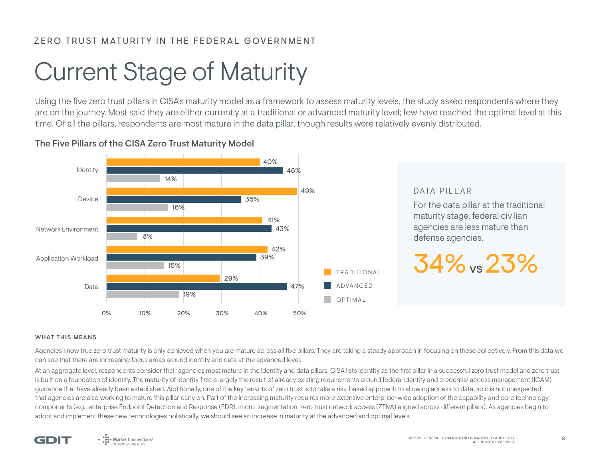### ZERO TRUST MATURITY IN THE FEDERAL GOVERNMENT

## Current Stage of Maturity

Using the five zero trust pillars in CISA's maturity model as a framework to assess maturity levels, the study asked respondents where they are on the journey. Most said they are either currently at a traditional or advanced maturity level; few have reached the optimal level at this time. Of all the pillars, respondents are most mature in the data pillar, though results were relatively evenly distributed.

### The Five Pillars of the CISA Zero Trust Maturity Model



#### WHAT THIS MEANS

Agencies know true zero trust maturity is only achieved when you are mature across all five pillars. They are taking a steady approach in focusing on these collectively. From this data we can see that there are increasing focus areas around identity and data at the advanced level.

At an aggregate level, respondents consider their agencies most mature in the identity and data pillars. CISA lists identity as the first pillar in a successful zero trust model and zero trust is built on a foundation of identity. The maturity of identity first is largely the result of already existing requirements around federal identity and credential access management (ICAM) guidance that have already been established. Additionally, one of the key tenants of zero trust is to take a risk-based approach to allowing access to data, so it is not unexpected that agencies are also working to mature this pillar early on. Part of the increasing maturity requires more extensive enterprise-wide adoption of the capability and core technology components (e.g., enterprise Endpoint Detection and Response (EDR), micro-segmentation, zero trust network access (ZTNA) aligned across different pillars). As agencies begin to adopt and implement these new technologies holistically, we should see an increase in maturity at the advanced and optimal levels.

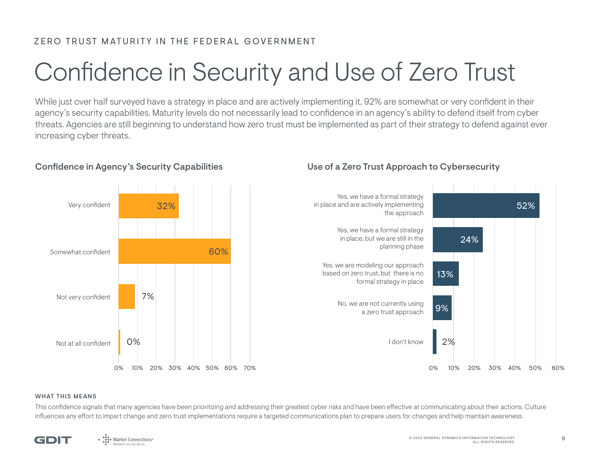### ZERO TRUST MATURITY IN THE FEDERAL GOVERNMENT

## Confidence in Security and Use of Zero Trust

While just over half surveyed have a strategy in place and are actively implementing it, 92% are somewhat or very confident in their agency's security capabilities. Maturity levels do not necessarily lead to confidence in an agency's ability to defend itself from cyber threats. Agencies are still beginning to understand how zero trust must be implemented as part of their strategy to defend against ever increasing cyber threats.



### Confidence in Agency's Security Capabilities Use of a Zero Trust Approach to Cybersecurity



#### WHAT THIS MEANS

This confidence signals that many agencies have been prioritizing and addressing their greatest cyber risks and have been effective at communicating about their actions. Culture influences any effort to impart change and zero trust implementations require a targeted communications plan to prepare users for changes and help maintain awareness.

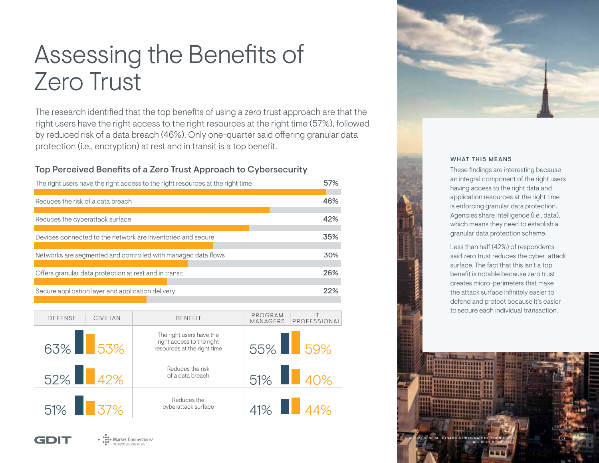## Assessing the Benefits of Zero Trust

The research identified that the top benefits of using a zero trust approach are that the right users have the right access to the right resources at the right time (57%), followed by reduced risk of a data breach (46%). Only one-quarter said offering granular data protection (i.e., encryption) at rest and in transit is a top benefit.

### Top Perceived Benefits of a Zero Trust Approach to Cybersecurity

| The right users have the right access to the right resources at the right time | 57% |
|--------------------------------------------------------------------------------|-----|
|                                                                                |     |
| Reduces the risk of a data breach                                              | 46% |
|                                                                                |     |
| Reduces the cyberattack surface                                                | 42% |
|                                                                                |     |
| Devices connected to the network are inventoried and secure                    | 35% |
|                                                                                |     |
| Networks are segmented and controlled with managed data flows                  | 30% |
|                                                                                |     |
| Offers granular data protection at rest and in transit                         | 26% |
|                                                                                |     |
| Secure application layer and application delivery                              | 22% |
|                                                                                |     |

| <b>DEFENSE</b> | <b>CIVILIAN</b> | <b>BENEFIT</b>                                                                       | PROGRAM<br>PROFESSIONAL<br><b>MANAGERS</b> |
|----------------|-----------------|--------------------------------------------------------------------------------------|--------------------------------------------|
| 63% 53%        |                 | The right users have the<br>right access to the right<br>resources at the right time | 55% 59%                                    |
| 52% 42%        |                 | Reduces the risk<br>of a data breach                                                 | 51% 40%                                    |
| 51% 37%        |                 | Reduces the<br>cyberattack surface                                                   | 41% 44%                                    |





#### WHAT THIS MEANS

These findings are interesting because an integral component of the right users having access to the right data and application resources at the right time is enforcing granular data protection. Agencies share intelligence (i.e., data), which means they need to establish a granular data protection scheme.

Less than half (42%) of respondents said zero trust reduces the cyber-attack surface. The fact that this isn't a top benefit is notable because zero trust creates micro-perimeters that make the attack surface infinitely easier to defend and protect because it's easier to secure each individual transaction.

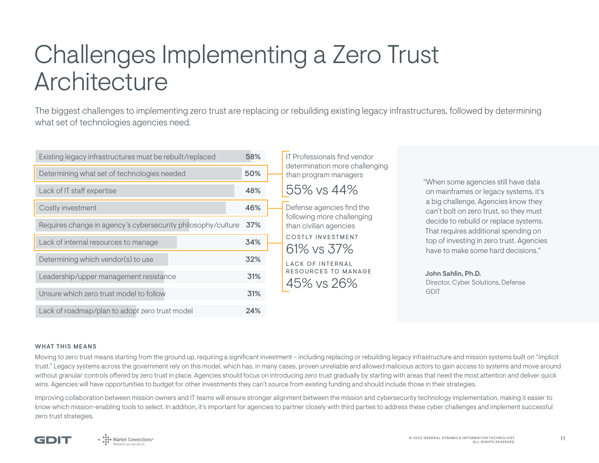## Challenges Implementing a Zero Trust Architecture

The biggest challenges to implementing zero trust are replacing or rebuilding existing legacy infrastructures, followed by determining what set of technologies agencies need.

| Existing legacy infrastructures must be rebuilt/replaced     |     |  |
|--------------------------------------------------------------|-----|--|
| Determining what set of technologies needed                  | 50% |  |
| Lack of IT staff expertise                                   | 48% |  |
| Costly investment                                            | 46% |  |
| Requires change in agency's cybersecurity philosophy/culture | 37% |  |
| Lack of internal resources to manage                         | 34% |  |
| Determining which vendor(s) to use                           | 32% |  |
| Leadership/upper management resistance                       | 31% |  |
| Unsure which zero trust model to follow                      | 31% |  |
| Lack of roadmap/plan to adopt zero trust model               | 24% |  |

IT Professionals find vendor determination more challenging than program managers 55% vs 44% Defense agencies find the following more challenging than civilian agencies COSTLY INVESTMENT 61% vs 37% LACK OF INTERNAL RESOURCES TO MANAGE 45% vs 26%

"When some agencies still have data on mainframes or legacy systems, it's a big challenge. Agencies know they can't bolt on zero trust, so they must decide to rebuild or replace systems. That requires additional spending on top of investing in zero trust. Agencies have to make some hard decisions."

John Sahlin, Ph.D. Director, Cyber Solutions, Defense GDIT

#### WHAT THIS MEANS

Moving to zero trust means starting from the ground up, requiring a significant investment – including replacing or rebuilding legacy infrastructure and mission systems built on "implicit" trust." Legacy systems across the government rely on this model, which has, in many cases, proven unreliable and allowed malicious actors to gain access to systems and move around without granular controls offered by zero trust in place. Agencies should focus on introducing zero trust gradually by starting with areas that need the most attention and deliver quick wins. Agencies will have opportunities to budget for other investments they can't source from existing funding and should include those in their strategies.

Improving collaboration between mission owners and IT teams will ensure stronger alignment between the mission and cybersecurity technology implementation, making it easier to know which mission-enabling tools to select. In addition, it's important for agencies to partner closely with third parties to address these cyber challenges and implement successful zero trust strategies.

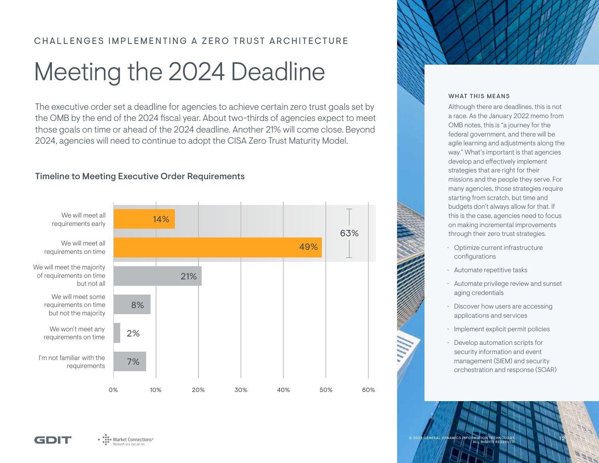### CHALLENGES IMPLEMENTING A ZERO TRUST ARCHITECTURE

## Meeting the 2024 Deadline

The executive order set a deadline for agencies to achieve certain zero trust goals set by the OMB by the end of the 2024 fiscal year. About two-thirds of agencies expect to meet those goals on time or ahead of the 2024 deadline. Another 21% will come close. Beyond 2024, agencies will need to continue to adopt the CISA Zero Trust Maturity Model.

### Timeline to Meeting Executive Order Requirements



#### WHAT THIS MEANS

Although there are deadlines, this is not a race. As the January 2022 memo from OMB notes, this is "a journey for the federal government, and there will be agile learning and adjustments along the way." What's important is that agencies develop and effectively implement strategies that are right for their missions and the people they serve. For many agencies, those strategies require starting from scratch, but time and budgets don't always allow for that. If this is the case, agencies need to focus on making incremental improvements through their zero trust strategies.

- Optimize current infrastructure configurations
- Automate repetitive tasks
- Automate privilege review and sunset aging credentials
- Discover how users are accessing applications and services
- Implement explicit permit policies
- Develop automation scripts for security information and event management (SIEM) and security orchestration and response (SOAR)



© 2022 GENERAL DYNAMICS INFORMATION TECHNOLOGY. 1 2 ALL RIGHTS RESERVED.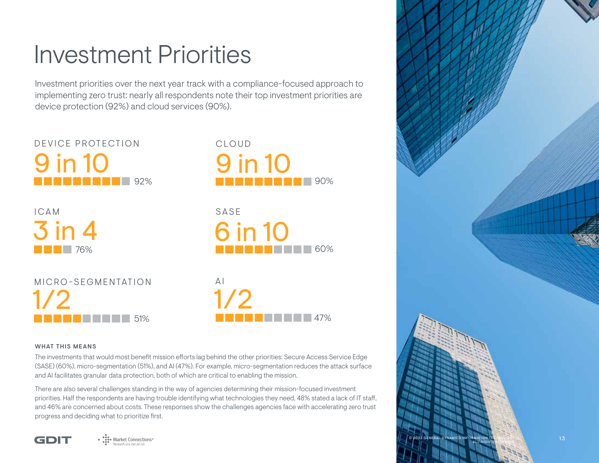## Investment Priorities

Investment priorities over the next year track with a compliance-focused approach to implementing zero trust: nearly all respondents note their top investment priorities are device protection (92%) and cloud services (90%).



#### WHAT THIS MEANS

The investments that would most benefit mission efforts lag behind the other priorities: Secure Access Service Edge (SASE) (60%), micro-segmentation (51%), and AI (47%). For example, micro-segmentation reduces the attack surface and AI facilitates granular data protection, both of which are critical to enabling the mission.

60%

47%

90%

There are also several challenges standing in the way of agencies determining their mission-focused investment priorities. Half the respondents are having trouble identifying what technologies they need, 48% stated a lack of IT staff, and 46% are concerned about costs. These responses show the challenges agencies face with accelerating zero trust progress and deciding what to prioritize first.

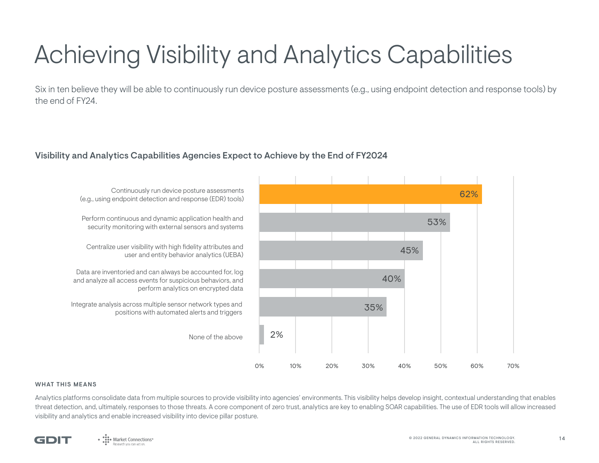## Achieving Visibility and Analytics Capabilities

Six in ten believe they will be able to continuously run device posture assessments (e.g., using endpoint detection and response tools) by the end of FY24.

### Visibility and Analytics Capabilities Agencies Expect to Achieve by the End of FY2024



#### WHAT THIS MEANS

Analytics platforms consolidate data from multiple sources to provide visibility into agencies' environments. This visibility helps develop insight, contextual understanding that enables threat detection, and, ultimately, responses to those threats. A core component of zero trust, analytics are key to enabling SOAR capabilities. The use of EDR tools will allow increased visibility and analytics and enable increased visibility into device pillar posture.

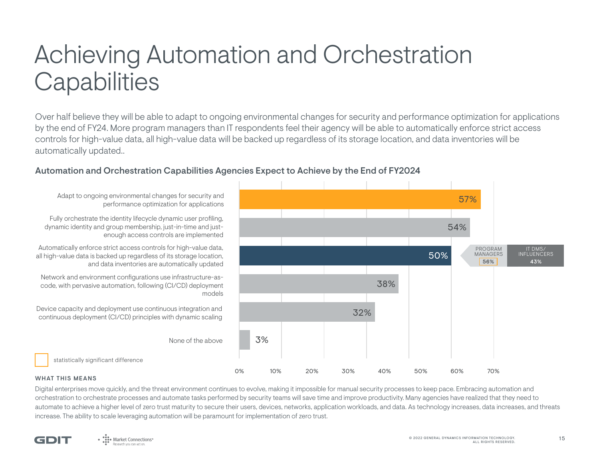## Achieving Automation and Orchestration **Capabilities**

Over half believe they will be able to adapt to ongoing environmental changes for security and performance optimization for applications by the end of FY24. More program managers than IT respondents feel their agency will be able to automatically enforce strict access controls for high-value data, all high-value data will be backed up regardless of its storage location, and data inventories will be automatically updated..

### Automation and Orchestration Capabilities Agencies Expect to Achieve by the End of FY2024



Adapt to ongoing environmental changes for security and performance optimization for applications

Fully orchestrate the identity lifecycle dynamic user profiling, dynamic identity and group membership, just-in-time and justenough access controls are implemented

Automatically enforce strict access controls for high-value data, all high-value data is backed up regardless of its storage location, and data inventories are automatically updated

Network and environment configurations use infrastructure-ascode, with pervasive automation, following (CI/CD) deployment

Device capacity and deployment use continuous integration and continuous deployment (CI/CD) principles with dynamic scaling

statistically significant difference

#### WHAT THIS MEANS

Digital enterprises move quickly, and the threat environment continues to evolve, making it impossible for manual security processes to keep pace. Embracing automation and orchestration to orchestrate processes and automate tasks performed by security teams will save time and improve productivity. Many agencies have realized that they need to automate to achieve a higher level of zero trust maturity to secure their users, devices, networks, application workloads, and data. As technology increases, data increases, and threats increase. The ability to scale leveraging automation will be paramount for implementation of zero trust.

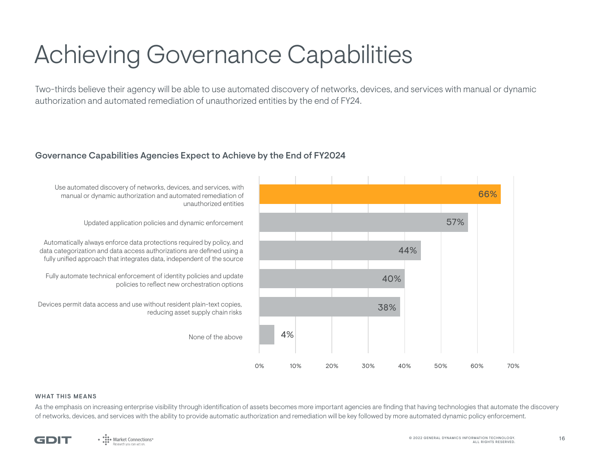## Achieving Governance Capabilities

Two-thirds believe their agency will be able to use automated discovery of networks, devices, and services with manual or dynamic authorization and automated remediation of unauthorized entities by the end of FY24.

### Governance Capabilities Agencies Expect to Achieve by the End of FY2024



#### WHAT THIS MEANS

As the emphasis on increasing enterprise visibility through identification of assets becomes more important agencies are finding that having technologies that automate the discovery of networks, devices, and services with the ability to provide automatic authorization and remediation will be key followed by more automated dynamic policy enforcement.

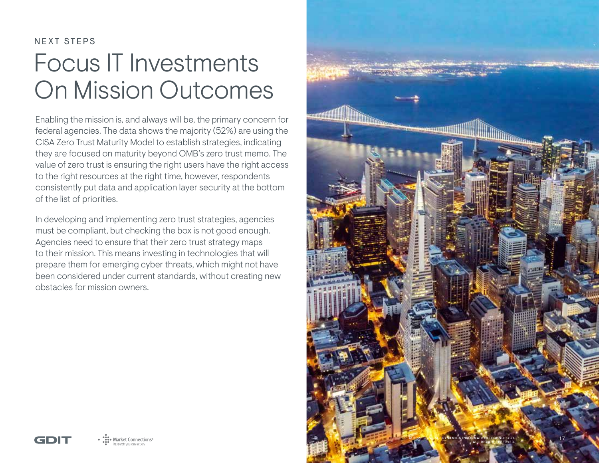## NEXT STEPS Focus IT Investments On Mission Outcomes

Enabling the mission is, and always will be, the primary concern for federal agencies. The data shows the majority (52%) are using the CISA Zero Trust Maturity Model to establish strategies, indicating they are focused on maturity beyond OMB's zero trust memo. The value of zero trust is ensuring the right users have the right access to the right resources at the right time, however, respondents consistently put data and application layer security at the bottom of the list of priorities.

In developing and implementing zero trust strategies, agencies must be compliant, but checking the box is not good enough. Agencies need to ensure that their zero trust strategy maps to their mission. This means investing in technologies that will prepare them for emerging cyber threats, which might not have been considered under current standards, without creating new obstacles for mission owners.



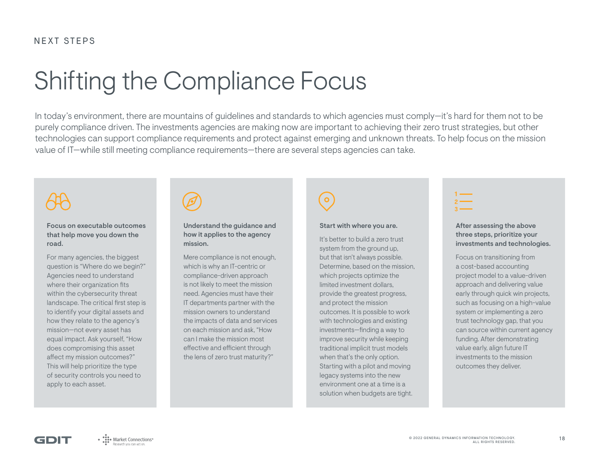## Shifting the Compliance Focus

In today's environment, there are mountains of guidelines and standards to which agencies must comply—it's hard for them not to be purely compliance driven. The investments agencies are making now are important to achieving their zero trust strategies, but other technologies can support compliance requirements and protect against emerging and unknown threats. To help focus on the mission value of IT—while still meeting compliance requirements—there are several steps agencies can take.

Focus on executable outcomes that help move you down the road.

For many agencies, the biggest question is "Where do we begin?" Agencies need to understand where their organization fits within the cybersecurity threat landscape. The critical first step is to identify your digital assets and how they relate to the agency's mission—not every asset has equal impact. Ask yourself, "How does compromising this asset affect my mission outcomes?" This will help prioritize the type of security controls you need to apply to each asset.

| í |  |
|---|--|
|   |  |

#### Understand the guidance and how it applies to the agency mission.

Mere compliance is not enough, which is why an IT-centric or compliance-driven approach is not likely to meet the mission need. Agencies must have their IT departments partner with the mission owners to understand the impacts of data and services on each mission and ask, "How can I make the mission most effective and efficient through the lens of zero trust maturity?"



#### Start with where you are.

It's better to build a zero trust system from the ground up, but that isn't always possible. Determine, based on the mission, which projects optimize the limited investment dollars, provide the greatest progress, and protect the mission outcomes. It is possible to work with technologies and existing investments—finding a way to improve security while keeping traditional implicit trust models when that's the only option. Starting with a pilot and moving legacy systems into the new environment one at a time is a solution when budgets are tight.



#### After assessing the above three steps, prioritize your investments and technologies.

Focus on transitioning from a cost-based accounting project model to a value-driven approach and delivering value early through quick win projects, such as focusing on a high-value system or implementing a zero trust technology gap, that you can source within current agency funding. After demonstrating value early, align future IT investments to the mission outcomes they deliver.

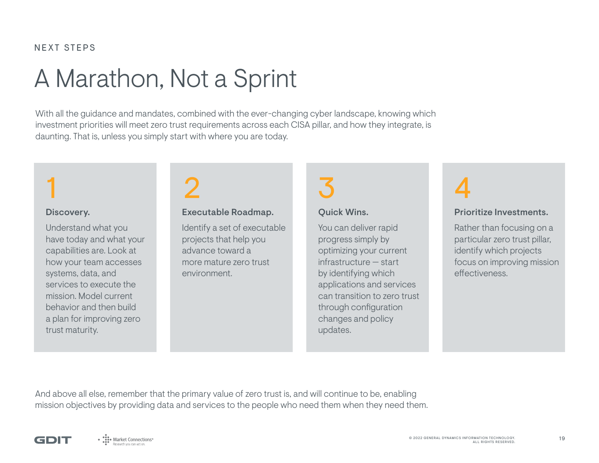### NEXT STEPS

## A Marathon, Not a Sprint

With all the guidance and mandates, combined with the ever-changing cyber landscape, knowing which investment priorities will meet zero trust requirements across each CISA pillar, and how they integrate, is daunting. That is, unless you simply start with where you are today.

### Discovery.

Understand what you have today and what your capabilities are. Look at how your team accesses systems, data, and services to execute the mission. Model current behavior and then build a plan for improving zero trust maturity.

# 1 2 3 4

### Executable Roadmap.

Identify a set of executable projects that help you advance toward a more mature zero trust environment.

### Quick Wins.

You can deliver rapid progress simply by optimizing your current infrastructure — start by identifying which applications and services can transition to zero trust through configuration changes and policy updates.



### Prioritize Investments.

Rather than focusing on a particular zero trust pillar, identify which projects focus on improving mission effectiveness.

And above all else, remember that the primary value of zero trust is, and will continue to be, enabling mission objectives by providing data and services to the people who need them when they need them.